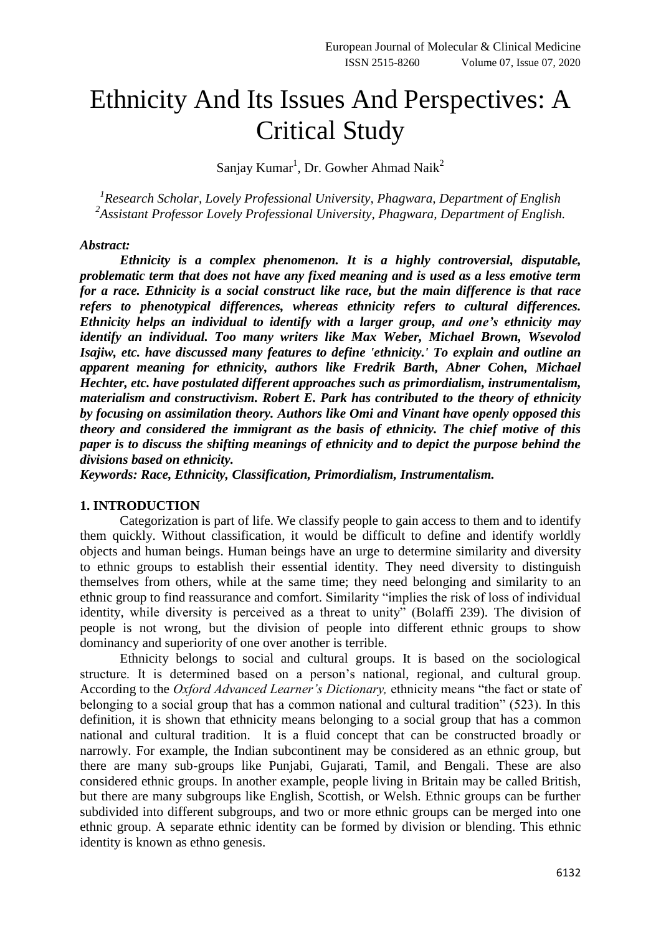# Ethnicity And Its Issues And Perspectives: A Critical Study

Sanjay Kumar<sup>1</sup>, Dr. Gowher Ahmad Naik<sup>2</sup>

*1 Research Scholar, Lovely Professional University, Phagwara, Department of English 2 Assistant Professor Lovely Professional University, Phagwara, Department of English.*

#### *Abstract:*

*Ethnicity is a complex phenomenon. It is a highly controversial, disputable, problematic term that does not have any fixed meaning and is used as a less emotive term for a race. Ethnicity is a social construct like race, but the main difference is that race refers to phenotypical differences, whereas ethnicity refers to cultural differences. Ethnicity helps an individual to identify with a larger group, and one's ethnicity may identify an individual. Too many writers like Max Weber, Michael Brown, Wsevolod Isajiw, etc. have discussed many features to define 'ethnicity.' To explain and outline an apparent meaning for ethnicity, authors like Fredrik Barth, Abner Cohen, Michael Hechter, etc. have postulated different approaches such as primordialism, instrumentalism, materialism and constructivism. Robert E. Park has contributed to the theory of ethnicity by focusing on assimilation theory. Authors like Omi and Vinant have openly opposed this theory and considered the immigrant as the basis of ethnicity. The chief motive of this paper is to discuss the shifting meanings of ethnicity and to depict the purpose behind the divisions based on ethnicity.*

*Keywords: Race, Ethnicity, Classification, Primordialism, Instrumentalism.*

### **1. INTRODUCTION**

Categorization is part of life. We classify people to gain access to them and to identify them quickly. Without classification, it would be difficult to define and identify worldly objects and human beings. Human beings have an urge to determine similarity and diversity to ethnic groups to establish their essential identity. They need diversity to distinguish themselves from others, while at the same time; they need belonging and similarity to an ethnic group to find reassurance and comfort. Similarity "implies the risk of loss of individual identity, while diversity is perceived as a threat to unity" (Bolaffi 239). The division of people is not wrong, but the division of people into different ethnic groups to show dominancy and superiority of one over another is terrible.

Ethnicity belongs to social and cultural groups. It is based on the sociological structure. It is determined based on a person's national, regional, and cultural group. According to the *Oxford Advanced Learner's Dictionary,* ethnicity means "the fact or state of belonging to a social group that has a common national and cultural tradition" (523). In this definition, it is shown that ethnicity means belonging to a social group that has a common national and cultural tradition. It is a fluid concept that can be constructed broadly or narrowly. For example, the Indian subcontinent may be considered as an ethnic group, but there are many sub-groups like Punjabi, Gujarati, Tamil, and Bengali. These are also considered ethnic groups. In another example, people living in Britain may be called British, but there are many subgroups like English, Scottish, or Welsh. Ethnic groups can be further subdivided into different subgroups, and two or more ethnic groups can be merged into one ethnic group. A separate ethnic identity can be formed by division or blending. This ethnic identity is known as ethno genesis.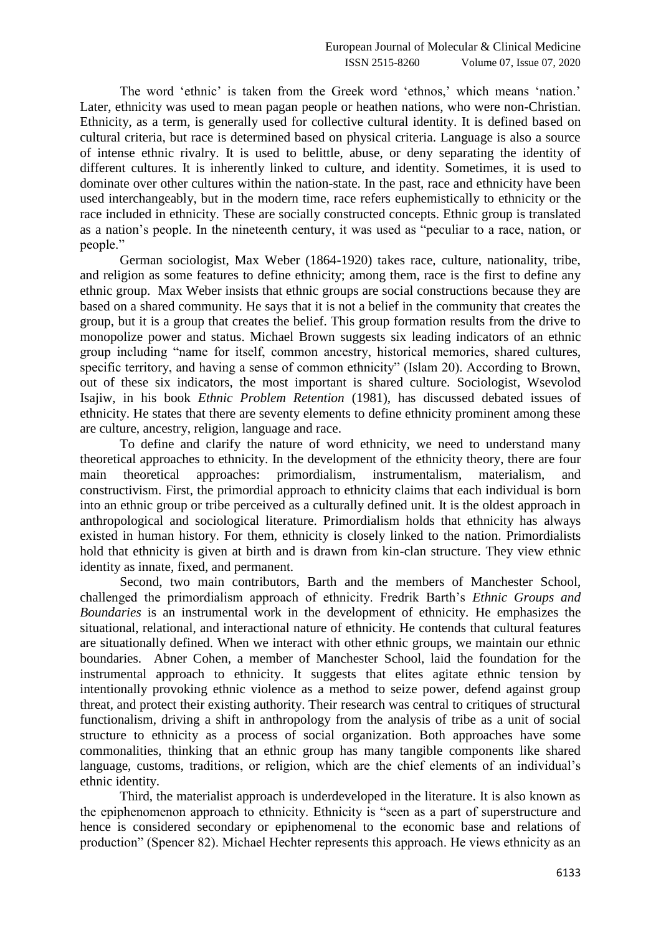The word 'ethnic' is taken from the Greek word 'ethnos,' which means 'nation.' Later, ethnicity was used to mean pagan people or heathen nations, who were non-Christian. Ethnicity, as a term, is generally used for collective cultural identity. It is defined based on cultural criteria, but race is determined based on physical criteria. Language is also a source of intense ethnic rivalry. It is used to belittle, abuse, or deny separating the identity of different cultures. It is inherently linked to culture, and identity. Sometimes, it is used to dominate over other cultures within the nation-state. In the past, race and ethnicity have been used interchangeably, but in the modern time, race refers euphemistically to ethnicity or the race included in ethnicity. These are socially constructed concepts. Ethnic group is translated as a nation"s people. In the nineteenth century, it was used as "peculiar to a race, nation, or people."

German sociologist, Max Weber (1864-1920) takes race, culture, nationality, tribe, and religion as some features to define ethnicity; among them, race is the first to define any ethnic group. Max Weber insists that ethnic groups are social constructions because they are based on a shared community. He says that it is not a belief in the community that creates the group, but it is a group that creates the belief. This group formation results from the drive to monopolize power and status. Michael Brown suggests six leading indicators of an ethnic group including "name for itself, common ancestry, historical memories, shared cultures, specific territory, and having a sense of common ethnicity" (Islam 20). According to Brown, out of these six indicators, the most important is shared culture. Sociologist, Wsevolod Isajiw, in his book *Ethnic Problem Retention* (1981), has discussed debated issues of ethnicity. He states that there are seventy elements to define ethnicity prominent among these are culture, ancestry, religion, language and race.

To define and clarify the nature of word ethnicity, we need to understand many theoretical approaches to ethnicity. In the development of the ethnicity theory, there are four main theoretical approaches: primordialism, instrumentalism, materialism, and constructivism. First, the primordial approach to ethnicity claims that each individual is born into an ethnic group or tribe perceived as a culturally defined unit. It is the oldest approach in anthropological and sociological literature. Primordialism holds that ethnicity has always existed in human history. For them, ethnicity is closely linked to the nation. Primordialists hold that ethnicity is given at birth and is drawn from kin-clan structure. They view ethnic identity as innate, fixed, and permanent.

Second, two main contributors, Barth and the members of Manchester School, challenged the primordialism approach of ethnicity. Fredrik Barth"s *Ethnic Groups and Boundaries* is an instrumental work in the development of ethnicity. He emphasizes the situational, relational, and interactional nature of ethnicity. He contends that cultural features are situationally defined. When we interact with other ethnic groups, we maintain our ethnic boundaries. Abner Cohen, a member of Manchester School, laid the foundation for the instrumental approach to ethnicity. It suggests that elites agitate ethnic tension by intentionally provoking ethnic violence as a method to seize power, defend against group threat, and protect their existing authority. Their research was central to critiques of structural functionalism, driving a shift in anthropology from the analysis of tribe as a unit of social structure to ethnicity as a process of social organization. Both approaches have some commonalities, thinking that an ethnic group has many tangible components like shared language, customs, traditions, or religion, which are the chief elements of an individual's ethnic identity.

Third, the materialist approach is underdeveloped in the literature. It is also known as the epiphenomenon approach to ethnicity. Ethnicity is "seen as a part of superstructure and hence is considered secondary or epiphenomenal to the economic base and relations of production" (Spencer 82). Michael Hechter represents this approach. He views ethnicity as an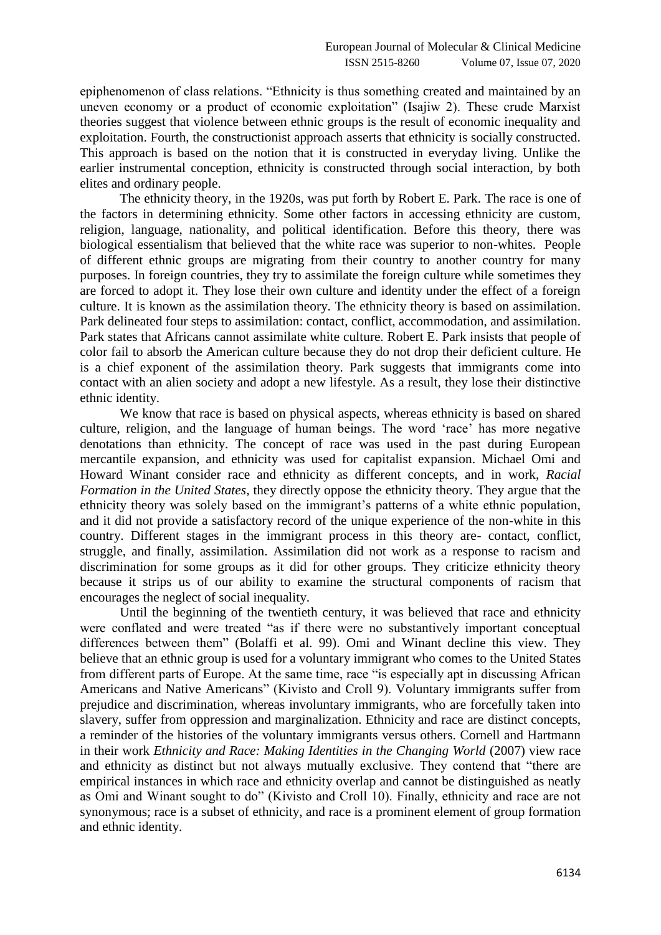epiphenomenon of class relations. "Ethnicity is thus something created and maintained by an uneven economy or a product of economic exploitation" (Isajiw 2). These crude Marxist theories suggest that violence between ethnic groups is the result of economic inequality and exploitation. Fourth, the constructionist approach asserts that ethnicity is socially constructed. This approach is based on the notion that it is constructed in everyday living. Unlike the earlier instrumental conception, ethnicity is constructed through social interaction, by both elites and ordinary people.

The ethnicity theory, in the 1920s, was put forth by Robert E. Park. The race is one of the factors in determining ethnicity. Some other factors in accessing ethnicity are custom, religion, language, nationality, and political identification. Before this theory, there was biological essentialism that believed that the white race was superior to non-whites. People of different ethnic groups are migrating from their country to another country for many purposes. In foreign countries, they try to assimilate the foreign culture while sometimes they are forced to adopt it. They lose their own culture and identity under the effect of a foreign culture. It is known as the assimilation theory. The ethnicity theory is based on assimilation. Park delineated four steps to assimilation: contact, conflict, accommodation, and assimilation. Park states that Africans cannot assimilate white culture. Robert E. Park insists that people of color fail to absorb the American culture because they do not drop their deficient culture. He is a chief exponent of the assimilation theory. Park suggests that immigrants come into contact with an alien society and adopt a new lifestyle. As a result, they lose their distinctive ethnic identity.

We know that race is based on physical aspects, whereas ethnicity is based on shared culture, religion, and the language of human beings. The word "race" has more negative denotations than ethnicity. The concept of race was used in the past during European mercantile expansion, and ethnicity was used for capitalist expansion. Michael Omi and Howard Winant consider race and ethnicity as different concepts, and in work, *Racial Formation in the United States,* they directly oppose the ethnicity theory. They argue that the ethnicity theory was solely based on the immigrant's patterns of a white ethnic population, and it did not provide a satisfactory record of the unique experience of the non-white in this country. Different stages in the immigrant process in this theory are- contact, conflict, struggle, and finally, assimilation. Assimilation did not work as a response to racism and discrimination for some groups as it did for other groups. They criticize ethnicity theory because it strips us of our ability to examine the structural components of racism that encourages the neglect of social inequality.

Until the beginning of the twentieth century, it was believed that race and ethnicity were conflated and were treated "as if there were no substantively important conceptual differences between them" (Bolaffi et al. 99). Omi and Winant decline this view. They believe that an ethnic group is used for a voluntary immigrant who comes to the United States from different parts of Europe. At the same time, race "is especially apt in discussing African Americans and Native Americans" (Kivisto and Croll 9). Voluntary immigrants suffer from prejudice and discrimination, whereas involuntary immigrants, who are forcefully taken into slavery, suffer from oppression and marginalization. Ethnicity and race are distinct concepts, a reminder of the histories of the voluntary immigrants versus others. Cornell and Hartmann in their work *Ethnicity and Race: Making Identities in the Changing World* (2007) view race and ethnicity as distinct but not always mutually exclusive. They contend that "there are empirical instances in which race and ethnicity overlap and cannot be distinguished as neatly as Omi and Winant sought to do" (Kivisto and Croll 10). Finally, ethnicity and race are not synonymous; race is a subset of ethnicity, and race is a prominent element of group formation and ethnic identity.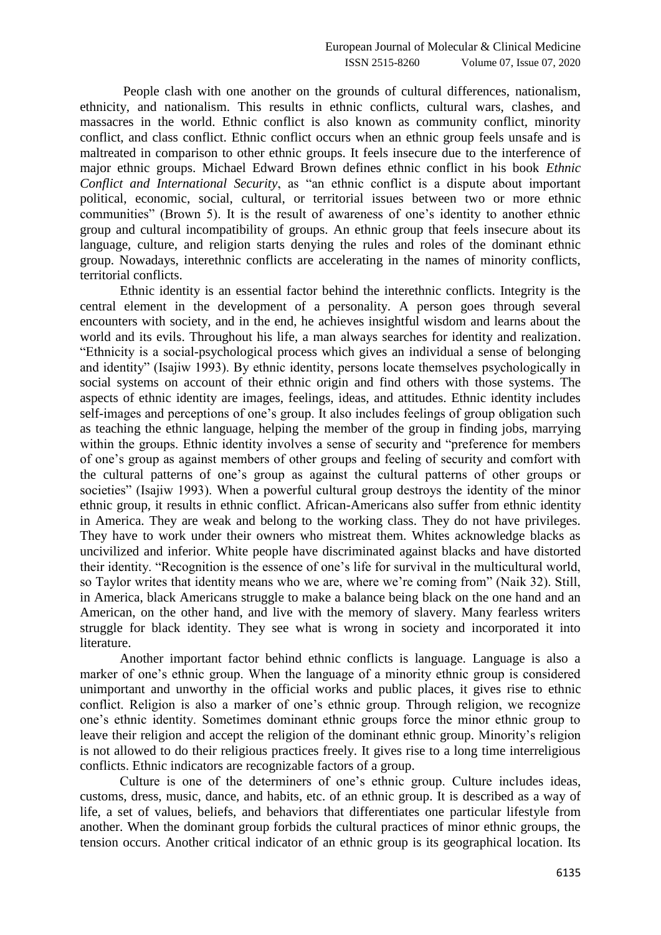People clash with one another on the grounds of cultural differences, nationalism, ethnicity, and nationalism. This results in ethnic conflicts, cultural wars, clashes, and massacres in the world. Ethnic conflict is also known as community conflict, minority conflict, and class conflict. Ethnic conflict occurs when an ethnic group feels unsafe and is maltreated in comparison to other ethnic groups. It feels insecure due to the interference of major ethnic groups. Michael Edward Brown defines ethnic conflict in his book *Ethnic Conflict and International Security*, as "an ethnic conflict is a dispute about important political, economic, social, cultural, or territorial issues between two or more ethnic communities" (Brown 5). It is the result of awareness of one"s identity to another ethnic group and cultural incompatibility of groups. An ethnic group that feels insecure about its language, culture, and religion starts denying the rules and roles of the dominant ethnic group. Nowadays, interethnic conflicts are accelerating in the names of minority conflicts, territorial conflicts.

Ethnic identity is an essential factor behind the interethnic conflicts. Integrity is the central element in the development of a personality. A person goes through several encounters with society, and in the end, he achieves insightful wisdom and learns about the world and its evils. Throughout his life, a man always searches for identity and realization. "Ethnicity is a social-psychological process which gives an individual a sense of belonging and identity" (Isajiw 1993). By ethnic identity, persons locate themselves psychologically in social systems on account of their ethnic origin and find others with those systems. The aspects of ethnic identity are images, feelings, ideas, and attitudes. Ethnic identity includes self-images and perceptions of one's group. It also includes feelings of group obligation such as teaching the ethnic language, helping the member of the group in finding jobs, marrying within the groups. Ethnic identity involves a sense of security and "preference for members of one"s group as against members of other groups and feeling of security and comfort with the cultural patterns of one"s group as against the cultural patterns of other groups or societies" (Isajiw 1993). When a powerful cultural group destroys the identity of the minor ethnic group, it results in ethnic conflict. African-Americans also suffer from ethnic identity in America. They are weak and belong to the working class. They do not have privileges. They have to work under their owners who mistreat them. Whites acknowledge blacks as uncivilized and inferior. White people have discriminated against blacks and have distorted their identity. "Recognition is the essence of one"s life for survival in the multicultural world, so Taylor writes that identity means who we are, where we"re coming from" (Naik 32). Still, in America, black Americans struggle to make a balance being black on the one hand and an American, on the other hand, and live with the memory of slavery. Many fearless writers struggle for black identity. They see what is wrong in society and incorporated it into literature.

Another important factor behind ethnic conflicts is language. Language is also a marker of one's ethnic group. When the language of a minority ethnic group is considered unimportant and unworthy in the official works and public places, it gives rise to ethnic conflict. Religion is also a marker of one"s ethnic group. Through religion, we recognize one"s ethnic identity. Sometimes dominant ethnic groups force the minor ethnic group to leave their religion and accept the religion of the dominant ethnic group. Minority"s religion is not allowed to do their religious practices freely. It gives rise to a long time interreligious conflicts. Ethnic indicators are recognizable factors of a group.

Culture is one of the determiners of one"s ethnic group. Culture includes ideas, customs, dress, music, dance, and habits, etc. of an ethnic group. It is described as a way of life, a set of values, beliefs, and behaviors that differentiates one particular lifestyle from another. When the dominant group forbids the cultural practices of minor ethnic groups, the tension occurs. Another critical indicator of an ethnic group is its geographical location. Its